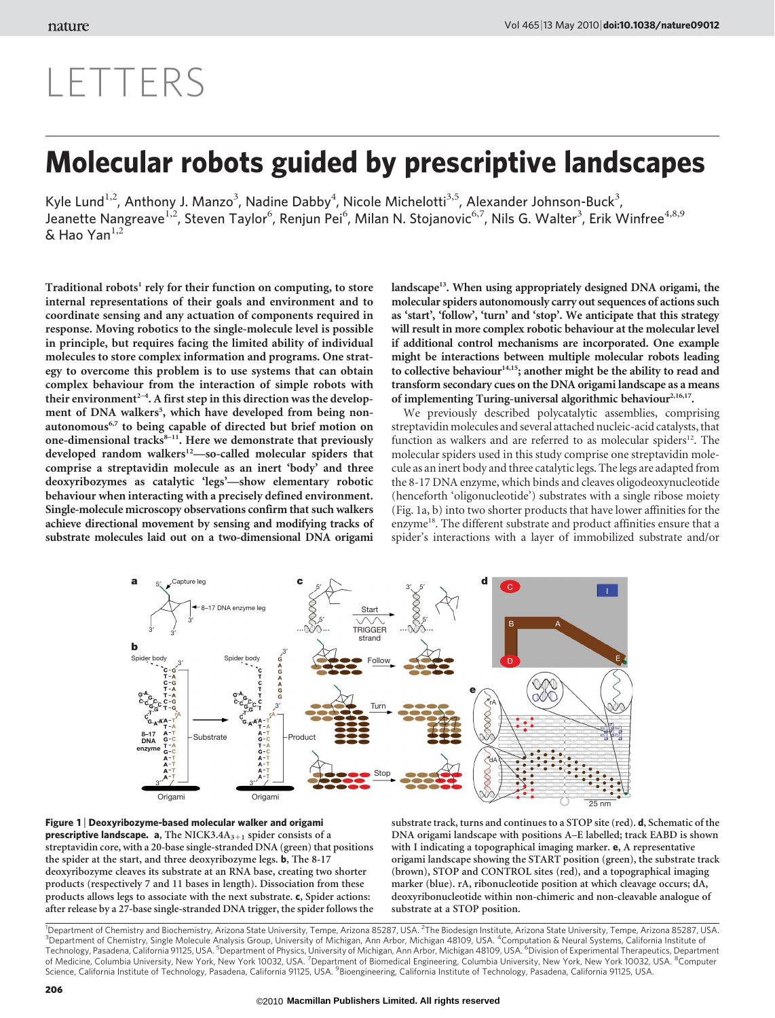## LETTERS

## Molecular robots guided by prescriptive landscapes

Kyle Lund<sup>1,2</sup>, Anthony J. Manzo<sup>3</sup>, Nadine Dabby<sup>4</sup>, Nicole Michelotti<sup>3,5</sup>, Alexander Johnson-Buck<sup>3</sup>, Jeanette Nangreave<sup>1,2</sup>, Steven Taylor<sup>6</sup>, Renjun Pei<sup>6</sup>, Milan N. Stojanovic<sup>6,7</sup>, Nils G. Walter<sup>3</sup>, Erik Winfree<sup>4,8,9</sup>  $\delta$  Hao Yan<sup>1,2</sup>

Traditional robots<sup>1</sup> rely for their function on computing, to store internal representations of their goals and environment and to coordinate sensing and any actuation of components required in response. Moving robotics to the single-molecule level is possible in principle, but requires facing the limited ability of individual molecules to store complex information and programs. One strategy to overcome this problem is to use systems that can obtain complex behaviour from the interaction of simple robots with their environment<sup> $2-4$ </sup>. A first step in this direction was the development of DNA walkers<sup>5</sup>, which have developed from being nonautonomous<sup>6,7</sup> to being capable of directed but brief motion on one-dimensional tracks $8-11$ . Here we demonstrate that previously developed random walkers<sup>12</sup>—so-called molecular spiders that comprise a streptavidin molecule as an inert 'body' and three deoxyribozymes as catalytic 'legs'—show elementary robotic behaviour when interacting with a precisely defined environment. Single-molecule microscopy observations confirm that such walkers achieve directional movement by sensing and modifying tracks of substrate molecules laid out on a two-dimensional DNA origami

landscape<sup>13</sup>. When using appropriately designed DNA origami, the molecular spiders autonomously carry out sequences of actions such as 'start', 'follow', 'turn' and 'stop'. We anticipate that this strategy will result in more complex robotic behaviour at the molecular level if additional control mechanisms are incorporated. One example might be interactions between multiple molecular robots leading to collective behaviour<sup>14,15</sup>; another might be the ability to read and transform secondary cues on the DNA origami landscape as a means of implementing Turing-universal algorithmic behaviour<sup>2,16,17</sup>.

We previously described polycatalytic assemblies, comprising streptavidin molecules and several attached nucleic-acid catalysts, that function as walkers and are referred to as molecular spiders $^{12}$ . The molecular spiders used in this study comprise one streptavidin molecule as an inert body and three catalytic legs. The legs are adapted from the 8-17 DNA enzyme, which binds and cleaves oligodeoxynucleotide (henceforth 'oligonucleotide') substrates with a single ribose moiety (Fig. 1a, b) into two shorter products that have lower affinities for the enzyme<sup>18</sup>. The different substrate and product affinities ensure that a spider's interactions with a layer of immobilized substrate and/or



Figure 1 <sup>|</sup> Deoxyribozyme-based molecular walker and origami **prescriptive landscape.** a, The NICK3.4 $A_{3+1}$  spider consists of a streptavidin core, with a 20-base single-stranded DNA (green) that positions the spider at the start, and three deoxyribozyme legs. b, The 8-17 deoxyribozyme cleaves its substrate at an RNA base, creating two shorter products (respectively 7 and 11 bases in length). Dissociation from these products allows legs to associate with the next substrate. c, Spider actions: after release by a 27-base single-stranded DNA trigger, the spider follows the substrate track, turns and continues to a STOP site (red). d, Schematic of the DNA origami landscape with positions A–E labelled; track EABD is shown with I indicating a topographical imaging marker. e, A representative origami landscape showing the START position (green), the substrate track (brown), STOP and CONTROL sites (red), and a topographical imaging marker (blue). rA, ribonucleotide position at which cleavage occurs; dA, deoxyribonucleotide within non-chimeric and non-cleavable analogue of substrate at a STOP position.

<sup>1</sup> Department of Chemistry and Biochemistry, Arizona State University, Tempe, Arizona 85287, USA. <sup>2</sup> The Biodesign Institute, Arizona State University, Tempe, Arizona 85287, USA.<br><sup>3</sup> Department of Chemistry, Single Malec Department of Chemistry, Single Molecule Analysis Group, University of Michigan, Ann Arbor, Michigan 48109, USA. <sup>4</sup>Computation & Neural Systems, California Institute of Technology, Pasadena, California 91125, USA. <sup>5</sup>Department of Physics, University of Michigan, Ann Arbor, Michigan 48109, USA. <sup>6</sup>Division of Experimental Therapeutics, Department<br>of Medicine, Columbia University, New York Science, California Institute of Technology, Pasadena, California 91125, USA. <sup>9</sup>Bioengineering, California Institute of Technology, Pasadena, California 91125, USA.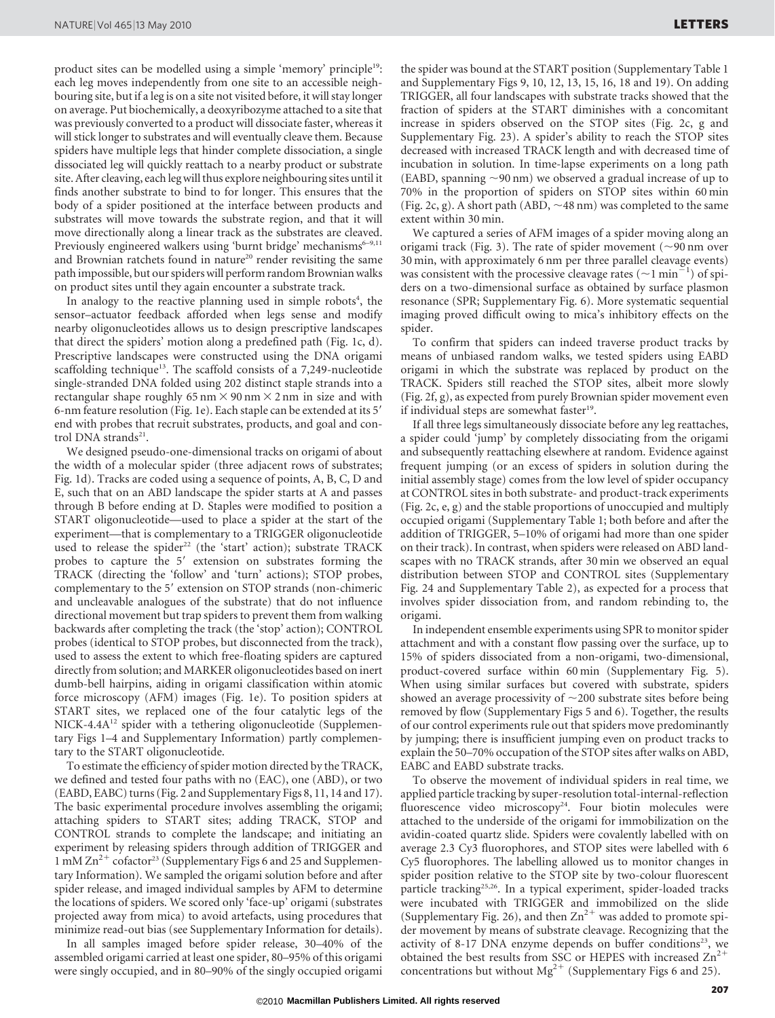product sites can be modelled using a simple 'memory' principle<sup>19</sup>: each leg moves independently from one site to an accessible neighbouring site, but if a leg is on a site not visited before, it will stay longer on average. Put biochemically, a deoxyribozyme attached to a site that was previously converted to a product will dissociate faster, whereas it will stick longer to substrates and will eventually cleave them. Because spiders have multiple legs that hinder complete dissociation, a single dissociated leg will quickly reattach to a nearby product or substrate site. After cleaving, each leg will thus explore neighbouring sites until it finds another substrate to bind to for longer. This ensures that the body of a spider positioned at the interface between products and substrates will move towards the substrate region, and that it will move directionally along a linear track as the substrates are cleaved. Previously engineered walkers using 'burnt bridge' mechanisms $6-9,11$ and Brownian ratchets found in nature<sup>20</sup> render revisiting the same path impossible, but our spiders will perform random Brownian walks on product sites until they again encounter a substrate track.

In analogy to the reactive planning used in simple robots<sup>4</sup>, the sensor–actuator feedback afforded when legs sense and modify nearby oligonucleotides allows us to design prescriptive landscapes that direct the spiders' motion along a predefined path (Fig. 1c, d). Prescriptive landscapes were constructed using the DNA origami scaffolding technique<sup>13</sup>. The scaffold consists of a 7,249-nucleotide single-stranded DNA folded using 202 distinct staple strands into a rectangular shape roughly 65 nm  $\times$  90 nm  $\times$  2 nm in size and with 6-nm feature resolution (Fig. 1e). Each staple can be extended at its 5' end with probes that recruit substrates, products, and goal and control DNA strands<sup>21</sup>.

We designed pseudo-one-dimensional tracks on origami of about the width of a molecular spider (three adjacent rows of substrates; Fig. 1d). Tracks are coded using a sequence of points, A, B, C, D and E, such that on an ABD landscape the spider starts at A and passes through B before ending at D. Staples were modified to position a START oligonucleotide—used to place a spider at the start of the experiment—that is complementary to a TRIGGER oligonucleotide used to release the spider<sup>22</sup> (the 'start' action); substrate TRACK probes to capture the 5' extension on substrates forming the TRACK (directing the 'follow' and 'turn' actions); STOP probes, complementary to the 5' extension on STOP strands (non-chimeric and uncleavable analogues of the substrate) that do not influence directional movement but trap spiders to prevent them from walking backwards after completing the track (the 'stop' action); CONTROL probes (identical to STOP probes, but disconnected from the track), used to assess the extent to which free-floating spiders are captured directly from solution; and MARKER oligonucleotides based on inert dumb-bell hairpins, aiding in origami classification within atomic force microscopy (AFM) images (Fig. 1e). To position spiders at START sites, we replaced one of the four catalytic legs of the NICK-4.4A<sup>12</sup> spider with a tethering oligonucleotide (Supplementary Figs 1–4 and Supplementary Information) partly complementary to the START oligonucleotide.

To estimate the efficiency of spider motion directed by the TRACK, we defined and tested four paths with no (EAC), one (ABD), or two (EABD, EABC) turns (Fig. 2 and Supplementary Figs 8, 11, 14 and 17). The basic experimental procedure involves assembling the origami; attaching spiders to START sites; adding TRACK, STOP and CONTROL strands to complete the landscape; and initiating an experiment by releasing spiders through addition of TRIGGER and 1 mM  $\text{Zn}^{2+}$  cofactor<sup>23</sup> (Supplementary Figs 6 and 25 and Supplementary Information). We sampled the origami solution before and after spider release, and imaged individual samples by AFM to determine the locations of spiders. We scored only 'face-up' origami (substrates projected away from mica) to avoid artefacts, using procedures that minimize read-out bias (see Supplementary Information for details).

In all samples imaged before spider release, 30–40% of the assembled origami carried at least one spider, 80–95% of this origami were singly occupied, and in 80–90% of the singly occupied origami the spider was bound at the START position (Supplementary Table 1 and Supplementary Figs 9, 10, 12, 13, 15, 16, 18 and 19). On adding TRIGGER, all four landscapes with substrate tracks showed that the fraction of spiders at the START diminishes with a concomitant increase in spiders observed on the STOP sites (Fig. 2c, g and Supplementary Fig. 23). A spider's ability to reach the STOP sites decreased with increased TRACK length and with decreased time of incubation in solution. In time-lapse experiments on a long path (EABD, spanning  $\sim$ 90 nm) we observed a gradual increase of up to 70% in the proportion of spiders on STOP sites within 60 min (Fig. 2c, g). A short path (ABD,  $\sim$  48 nm) was completed to the same extent within 30 min.

We captured a series of AFM images of a spider moving along an origami track (Fig. 3). The rate of spider movement ( $\sim$ 90 nm over 30 min, with approximately 6 nm per three parallel cleavage events) was consistent with the processive cleavage rates ( $\sim$ 1 min<sup>21</sup>) of spiders on a two-dimensional surface as obtained by surface plasmon resonance (SPR; Supplementary Fig. 6). More systematic sequential imaging proved difficult owing to mica's inhibitory effects on the spider.

To confirm that spiders can indeed traverse product tracks by means of unbiased random walks, we tested spiders using EABD origami in which the substrate was replaced by product on the TRACK. Spiders still reached the STOP sites, albeit more slowly (Fig. 2f, g), as expected from purely Brownian spider movement even if individual steps are somewhat faster<sup>19</sup>.

If all three legs simultaneously dissociate before any leg reattaches, a spider could 'jump' by completely dissociating from the origami and subsequently reattaching elsewhere at random. Evidence against frequent jumping (or an excess of spiders in solution during the initial assembly stage) comes from the low level of spider occupancy at CONTROL sites in both substrate- and product-track experiments (Fig. 2c, e, g) and the stable proportions of unoccupied and multiply occupied origami (Supplementary Table 1; both before and after the addition of TRIGGER, 5–10% of origami had more than one spider on their track). In contrast, when spiders were released on ABD landscapes with no TRACK strands, after 30 min we observed an equal distribution between STOP and CONTROL sites (Supplementary Fig. 24 and Supplementary Table 2), as expected for a process that involves spider dissociation from, and random rebinding to, the origami.

In independent ensemble experiments using SPR to monitor spider attachment and with a constant flow passing over the surface, up to 15% of spiders dissociated from a non-origami, two-dimensional, product-covered surface within 60 min (Supplementary Fig. 5). When using similar surfaces but covered with substrate, spiders showed an average processivity of  $\sim$ 200 substrate sites before being removed by flow (Supplementary Figs 5 and 6). Together, the results of our control experiments rule out that spiders move predominantly by jumping; there is insufficient jumping even on product tracks to explain the 50–70% occupation of the STOP sites after walks on ABD, EABC and EABD substrate tracks.

To observe the movement of individual spiders in real time, we applied particle tracking by super-resolution total-internal-reflection fluorescence video microscopy<sup>24</sup>. Four biotin molecules were attached to the underside of the origami for immobilization on the avidin-coated quartz slide. Spiders were covalently labelled with on average 2.3 Cy3 fluorophores, and STOP sites were labelled with 6 Cy5 fluorophores. The labelling allowed us to monitor changes in spider position relative to the STOP site by two-colour fluorescent particle tracking<sup>25,26</sup>. In a typical experiment, spider-loaded tracks were incubated with TRIGGER and immobilized on the slide (Supplementary Fig. 26), and then  $Zn^{2+}$  was added to promote spider movement by means of substrate cleavage. Recognizing that the activity of 8-17 DNA enzyme depends on buffer conditions<sup>23</sup>, we obtained the best results from SSC or HEPES with increased  $Zn^2$ concentrations but without  $Mg^{2+}$  (Supplementary Figs 6 and 25).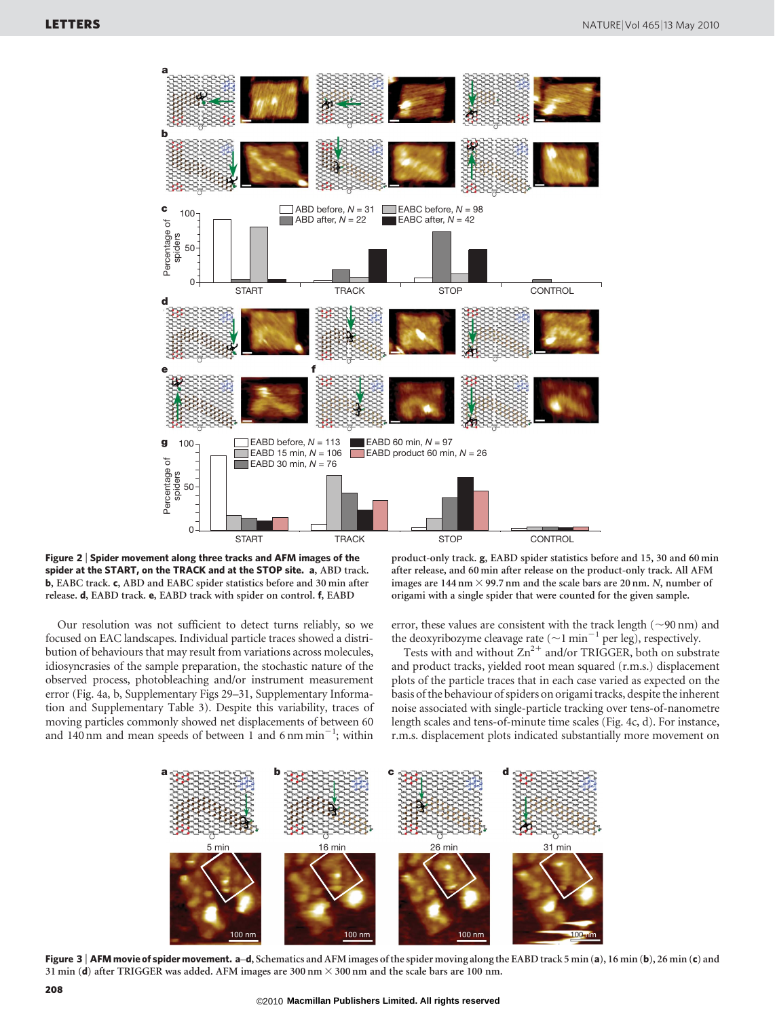

Figure 2 <sup>|</sup> Spider movement along three tracks and AFM images of the spider at the START, on the TRACK and at the STOP site. a, ABD track. b, EABC track. c, ABD and EABC spider statistics before and 30 min after release. d, EABD track. e, EABD track with spider on control. f, EABD

Our resolution was not sufficient to detect turns reliably, so we focused on EAC landscapes. Individual particle traces showed a distribution of behaviours that may result from variations across molecules, idiosyncrasies of the sample preparation, the stochastic nature of the observed process, photobleaching and/or instrument measurement error (Fig. 4a, b, Supplementary Figs 29–31, Supplementary Information and Supplementary Table 3). Despite this variability, traces of moving particles commonly showed net displacements of between 60 and 140 nm and mean speeds of between 1 and 6 nm min<sup>-1</sup>; within

product-only track. g, EABD spider statistics before and 15, 30 and 60 min after release, and 60 min after release on the product-only track. All AFM images are  $144$  nm  $\times$  99.7 nm and the scale bars are 20 nm. *N*, number of origami with a single spider that were counted for the given sample.

error, these values are consistent with the track length ( $\sim$ 90 nm) and the deoxyribozyme cleavage rate ( $\sim$ 1 min<sup>-1</sup> per leg), respectively.

Tests with and without  $Zn^{2+}$  and/or TRIGGER, both on substrate and product tracks, yielded root mean squared (r.m.s.) displacement plots of the particle traces that in each case varied as expected on the basis of the behaviour of spiders on origami tracks, despite the inherent noise associated with single-particle tracking over tens-of-nanometre length scales and tens-of-minute time scales (Fig. 4c, d). For instance, r.m.s. displacement plots indicated substantially more movement on



Figure 3 | AFM movie of spider movement. a-d, Schematics and AFM images of the spider moving along the EABD track 5 min (a), 16 min (b), 26 min (c) and 31 min (d) after TRIGGER was added. AFM images are 300 nm  $\times$  300 nm and the scale bars are 100 nm.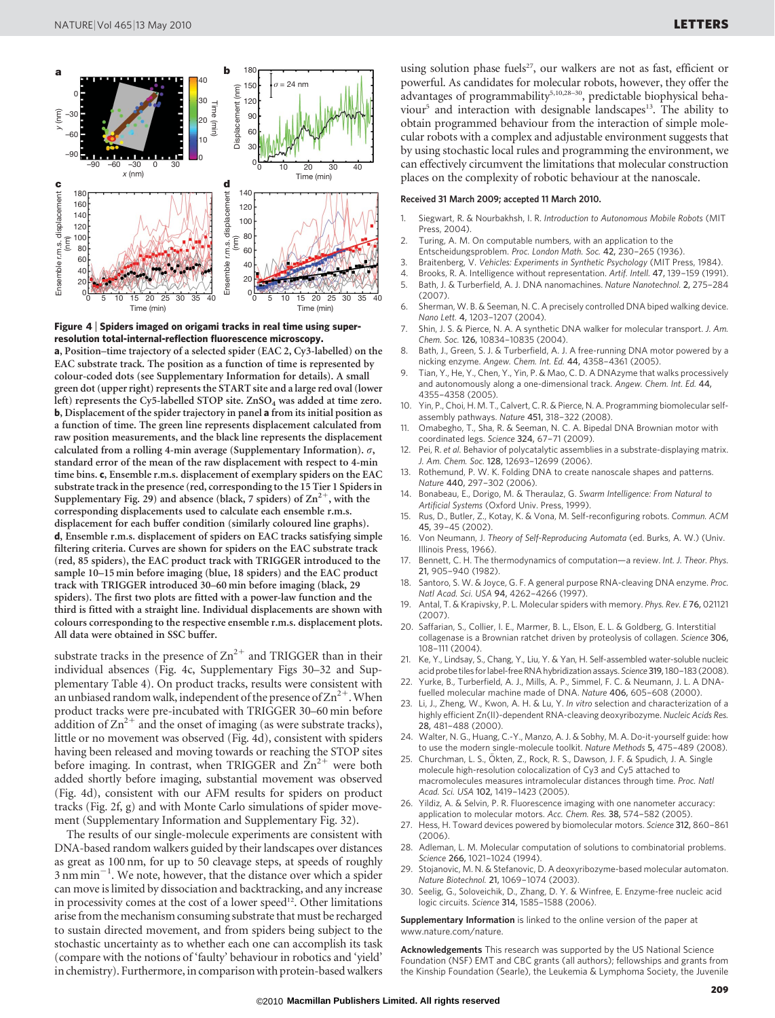![](_page_3_Figure_2.jpeg)

Figure 4 <sup>|</sup> Spiders imaged on origami tracks in real time using superresolution total-internal-reflection fluorescence microscopy. a, Position–time trajectory of a selected spider (EAC 2, Cy3-labelled) on the EAC substrate track. The position as a function of time is represented by colour-coded dots (see Supplementary Information for details). A small green dot (upper right) represents the START site and a large red oval (lower left) represents the Cy5-labelled STOP site. ZnSO<sub>4</sub> was added at time zero. b, Displacement of the spider trajectory in panel a from its initial position as a function of time. The green line represents displacement calculated from raw position measurements, and the black line represents the displacement calculated from a rolling 4-min average (Supplementary Information). *s*, standard error of the mean of the raw displacement with respect to 4-min time bins. c, Ensemble r.m.s. displacement of exemplary spiders on the EAC substrate track in the presence (red, corresponding to the 15 Tier 1 Spiders in Supplementary Fig. 29) and absence (black, 7 spiders) of  $\text{Zn}^{2+}$ , with the corresponding displacements used to calculate each ensemble r.m.s. displacement for each buffer condition (similarly coloured line graphs). d, Ensemble r.m.s. displacement of spiders on EAC tracks satisfying simple filtering criteria. Curves are shown for spiders on the EAC substrate track (red, 85 spiders), the EAC product track with TRIGGER introduced to the sample 10–15 min before imaging (blue, 18 spiders) and the EAC product track with TRIGGER introduced 30–60 min before imaging (black, 29 spiders). The first two plots are fitted with a power-law function and the third is fitted with a straight line. Individual displacements are shown with colours corresponding to the respective ensemble r.m.s. displacement plots. All data were obtained in SSC buffer.

substrate tracks in the presence of  $\text{Zn}^{2+}$  and TRIGGER than in their individual absences (Fig. 4c, Supplementary Figs 30–32 and Supplementary Table 4). On product tracks, results were consistent with an unbiased random walk, independent of the presence of  $\text{Zn}^{2+}$ . When product tracks were pre-incubated with TRIGGER 30–60 min before addition of  $\text{Zn}^{2+}$  and the onset of imaging (as were substrate tracks), little or no movement was observed (Fig. 4d), consistent with spiders having been released and moving towards or reaching the STOP sites before imaging. In contrast, when TRIGGER and  $\text{Zn}^{2+}$  were both added shortly before imaging, substantial movement was observed (Fig. 4d), consistent with our AFM results for spiders on product tracks (Fig. 2f, g) and with Monte Carlo simulations of spider movement (Supplementary Information and Supplementary Fig. 32).

The results of our single-molecule experiments are consistent with DNA-based random walkers guided by their landscapes over distances as great as 100 nm, for up to 50 cleavage steps, at speeds of roughly  $3 \text{ nm min}^{-1}$ . We note, however, that the distance over which a spider can move is limited by dissociation and backtracking, and any increase in processivity comes at the cost of a lower speed<sup>12</sup>. Other limitations arise from the mechanism consuming substrate that must be recharged to sustain directed movement, and from spiders being subject to the stochastic uncertainty as to whether each one can accomplish its task (compare with the notions of 'faulty' behaviour in robotics and 'yield' in chemistry). Furthermore, in comparison with protein-based walkers

using solution phase fuels<sup>27</sup>, our walkers are not as fast, efficient or powerful. As candidates for molecular robots, however, they offer the advantages of programmability<sup>5,10,28-30</sup>, predictable biophysical behaviour<sup>5</sup> and interaction with designable landscapes<sup>13</sup>. The ability to obtain programmed behaviour from the interaction of simple molecular robots with a complex and adjustable environment suggests that by using stochastic local rules and programming the environment, we can effectively circumvent the limitations that molecular construction places on the complexity of robotic behaviour at the nanoscale.

## Received 31 March 2009; accepted 11 March 2010.

- 1. Siegwart, R. & Nourbakhsh, I. R. Introduction to Autonomous Mobile Robots (MIT Press, 2004).
- 2. Turing, A. M. On computable numbers, with an application to the
- Entscheidungsproblem. Proc. London Math. Soc. 42, 230–265 (1936).
- 3. Braitenberg, V. Vehicles: Experiments in Synthetic Psychology (MIT Press, 1984).<br>4. Brooks R. A. Intelligence without representation. Artif. Intell. 47, 139–159 (1991).
- 4. Brooks, R. A. Intelligence without representation. Artif. Intell. 47, 139-159 (1991).<br>5. Bath, J. & Turberfield, A. J. DNA nanomachines. Nature Nanotechnol. 2, 275-284 5. Bath, J. & Turberfield, A. J. DNA nanomachines. Nature Nanotechnol. 2, 275–284 (2007).
- 6. Sherman, W. B. & Seeman, N. C. A precisely controlled DNA biped walking device. Nano Lett. 4, 1203–1207 (2004).
- 7. Shin, J. S. & Pierce, N. A. A synthetic DNA walker for molecular transport. J. Am. Chem. Soc. 126, 10834–10835 (2004).
- 8. Bath, J., Green, S. J. & Turberfield, A. J. A free-running DNA motor powered by a nicking enzyme. Angew. Chem. Int. Ed. 44, 4358–4361 (2005).
- Tian, Y., He, Y., Chen, Y., Yin, P. & Mao, C. D. A DNAzyme that walks processively and autonomously along a one-dimensional track. Angew. Chem. Int. Ed. 44, 4355–4358 (2005).
- 10. Yin, P., Choi, H. M. T., Calvert, C. R. & Pierce, N. A. Programming biomolecular selfassembly pathways. Nature 451, 318–322 (2008).
- 11. Omabegho, T., Sha, R. & Seeman, N. C. A. Bipedal DNA Brownian motor with coordinated legs. Science 324, 67–71 (2009).
- 12. Pei, R. et al. Behavior of polycatalytic assemblies in a substrate-displaying matrix. J. Am. Chem. Soc. 128, 12693–12699 (2006).
- 13. Rothemund, P. W. K. Folding DNA to create nanoscale shapes and patterns. Nature 440, 297–302 (2006).
- 14. Bonabeau, E., Dorigo, M. & Theraulaz, G. Swarm Intelligence: From Natural to Artificial Systems (Oxford Univ. Press, 1999).
- 15. Rus, D., Butler, Z., Kotay, K. & Vona, M. Self-reconfiguring robots. Commun. ACM 45, 39–45 (2002).
- 16. Von Neumann, J. Theory of Self-Reproducing Automata (ed. Burks, A. W.) (Univ. Illinois Press, 1966).
- 17. Bennett, C. H. The thermodynamics of computation—a review. Int. J. Theor. Phys. 21, 905–940 (1982).
- 18. Santoro, S. W. & Joyce, G. F. A general purpose RNA-cleaving DNA enzyme. Proc. Natl Acad. Sci. USA 94, 4262–4266 (1997).
- 19. Antal, T. & Krapivsky, P. L. Molecular spiders with memory. Phys. Rev. E 76, 021121 (2007).
- 20. Saffarian, S., Collier, I. E., Marmer, B. L., Elson, E. L. & Goldberg, G. Interstitial collagenase is a Brownian ratchet driven by proteolysis of collagen. Science 306, 108–111 (2004).
- 21. Ke, Y., Lindsay, S., Chang, Y., Liu, Y. & Yan, H. Self-assembled water-soluble nucleic acid probe tiles for label-free RNA hybridization assays. Science 319, 180-183 (2008).
- Yurke, B., Turberfield, A. J., Mills, A. P., Simmel, F. C. & Neumann, J. L. A DNAfuelled molecular machine made of DNA. Nature 406, 605–608 (2000).
- 23. Li, J., Zheng, W., Kwon, A. H. & Lu, Y. In vitro selection and characterization of a highly efficient Zn(II)-dependent RNA-cleaving deoxyribozyme. Nucleic Acids Res. 28, 481–488 (2000).
- 24. Walter, N. G., Huang, C.-Y., Manzo, A. J. & Sobhy, M. A. Do-it-yourself guide: how to use the modern single-molecule toolkit. Nature Methods 5, 475–489 (2008).
- 25. Churchman, L. S., Ökten, Z., Rock, R. S., Dawson, J. F. & Spudich, J. A. Single molecule high-resolution colocalization of Cy3 and Cy5 attached to macromolecules measures intramolecular distances through time. Proc. Natl Acad. Sci. USA 102, 1419–1423 (2005).
- 26. Yildiz, A. & Selvin, P. R. Fluorescence imaging with one nanometer accuracy: application to molecular motors. Acc. Chem. Res. 38, 574–582 (2005).
- 27. Hess, H. Toward devices powered by biomolecular motors. Science 312, 860–861  $(2006)$
- 28. Adleman, L. M. Molecular computation of solutions to combinatorial problems. Science 266, 1021–1024 (1994).
- 29. Stojanovic, M. N. & Stefanovic, D. A deoxyribozyme-based molecular automaton. Nature Biotechnol. 21, 1069–1074 (2003).
- 30. Seelig, G., Soloveichik, D., Zhang, D. Y. & Winfree, E. Enzyme-free nucleic acid logic circuits. Science 314, 1585–1588 (2006).

Supplementary Information is linked to the online version of the paper at <www.nature.com/nature>.

Acknowledgements This research was supported by the US National Science Foundation (NSF) EMT and CBC grants (all authors); fellowships and grants from the Kinship Foundation (Searle), the Leukemia & Lymphoma Society, the Juvenile